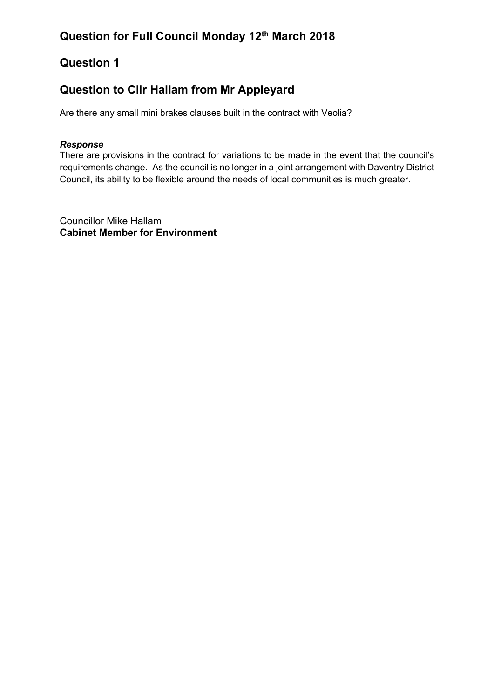## **Question to Cllr Hallam from Mr Appleyard**

Are there any small mini brakes clauses built in the contract with Veolia?

### *Response*

There are provisions in the contract for variations to be made in the event that the council's requirements change. As the council is no longer in a joint arrangement with Daventry District Council, its ability to be flexible around the needs of local communities is much greater.

Councillor Mike Hallam **Cabinet Member for Environment**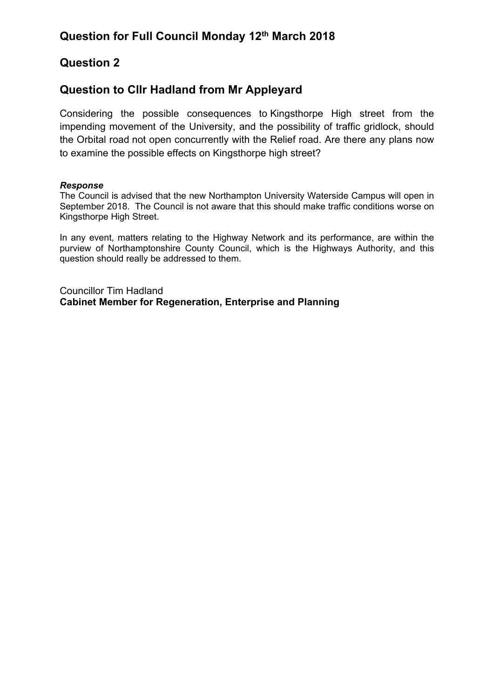### **Question to Cllr Hadland from Mr Appleyard**

Considering the possible consequences to Kingsthorpe High street from the impending movement of the University, and the possibility of traffic gridlock, should the Orbital road not open concurrently with the Relief road. Are there any plans now to examine the possible effects on Kingsthorpe high street?

#### *Response*

The Council is advised that the new Northampton University Waterside Campus will open in September 2018. The Council is not aware that this should make traffic conditions worse on Kingsthorpe High Street.

In any event, matters relating to the Highway Network and its performance, are within the purview of Northamptonshire County Council, which is the Highways Authority, and this question should really be addressed to them.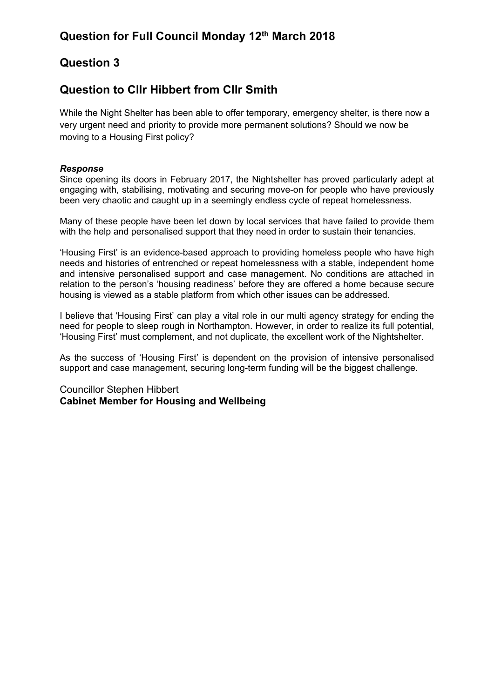### **Question to Cllr Hibbert from Cllr Smith**

While the Night Shelter has been able to offer temporary, emergency shelter, is there now a very urgent need and priority to provide more permanent solutions? Should we now be moving to a Housing First policy?

#### *Response*

Since opening its doors in February 2017, the Nightshelter has proved particularly adept at engaging with, stabilising, motivating and securing move-on for people who have previously been very chaotic and caught up in a seemingly endless cycle of repeat homelessness.

Many of these people have been let down by local services that have failed to provide them with the help and personalised support that they need in order to sustain their tenancies.

'Housing First' is an evidence-based approach to providing homeless people who have high needs and histories of entrenched or repeat homelessness with a stable, independent home and intensive personalised support and case management. No conditions are attached in relation to the person's 'housing readiness' before they are offered a home because secure housing is viewed as a stable platform from which other issues can be addressed.

I believe that 'Housing First' can play a vital role in our multi agency strategy for ending the need for people to sleep rough in Northampton. However, in order to realize its full potential, 'Housing First' must complement, and not duplicate, the excellent work of the Nightshelter.

As the success of 'Housing First' is dependent on the provision of intensive personalised support and case management, securing long-term funding will be the biggest challenge.

### Councillor Stephen Hibbert **Cabinet Member for Housing and Wellbeing**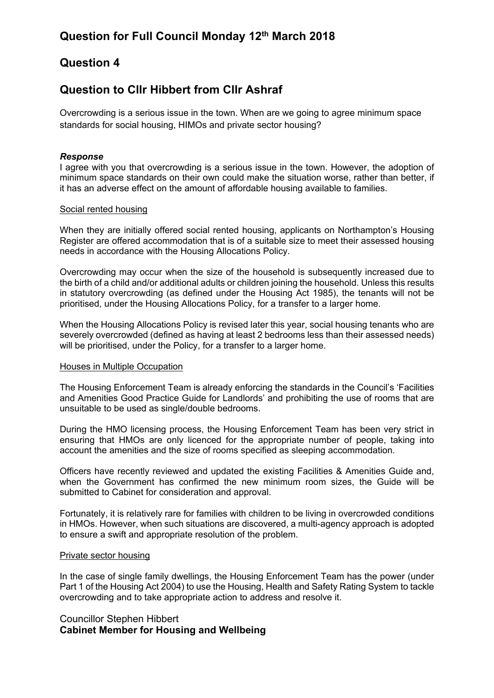### **Question to Cllr Hibbert from Cllr Ashraf**

Overcrowding is a serious issue in the town. When are we going to agree minimum space standards for social housing, HIMOs and private sector housing?

#### *Response*

I agree with you that overcrowding is a serious issue in the town. However, the adoption of minimum space standards on their own could make the situation worse, rather than better, if it has an adverse effect on the amount of affordable housing available to families.

#### Social rented housing

When they are initially offered social rented housing, applicants on Northampton's Housing Register are offered accommodation that is of a suitable size to meet their assessed housing needs in accordance with the Housing Allocations Policy.

Overcrowding may occur when the size of the household is subsequently increased due to the birth of a child and/or additional adults or children joining the household. Unless this results in statutory overcrowding (as defined under the Housing Act 1985), the tenants will not be prioritised, under the Housing Allocations Policy, for a transfer to a larger home.

When the Housing Allocations Policy is revised later this year, social housing tenants who are severely overcrowded (defined as having at least 2 bedrooms less than their assessed needs) will be prioritised, under the Policy, for a transfer to a larger home.

#### Houses in Multiple Occupation

The Housing Enforcement Team is already enforcing the standards in the Council's 'Facilities and Amenities Good Practice Guide for Landlords' and prohibiting the use of rooms that are unsuitable to be used as single/double bedrooms.

During the HMO licensing process, the Housing Enforcement Team has been very strict in ensuring that HMOs are only licenced for the appropriate number of people, taking into account the amenities and the size of rooms specified as sleeping accommodation.

Officers have recently reviewed and updated the existing Facilities & Amenities Guide and, when the Government has confirmed the new minimum room sizes, the Guide will be submitted to Cabinet for consideration and approval.

Fortunately, it is relatively rare for families with children to be living in overcrowded conditions in HMOs. However, when such situations are discovered, a multi-agency approach is adopted to ensure a swift and appropriate resolution of the problem.

#### Private sector housing

In the case of single family dwellings, the Housing Enforcement Team has the power (under Part 1 of the Housing Act 2004) to use the Housing, Health and Safety Rating System to tackle overcrowding and to take appropriate action to address and resolve it.

### Councillor Stephen Hibbert **Cabinet Member for Housing and Wellbeing**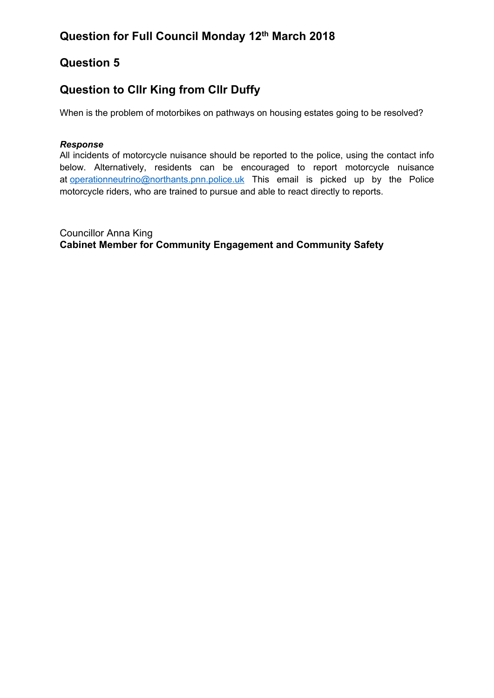## **Question to Cllr King from Cllr Duffy**

When is the problem of motorbikes on pathways on housing estates going to be resolved?

### *Response*

All incidents of motorcycle nuisance should be reported to the police, using the contact info below. Alternatively, residents can be encouraged to report motorcycle nuisance at [operationneutrino@northants.pnn.police.uk](mailto:operationneutrino@northants.pnn.police.uk) This email is picked up by the Police motorcycle riders, who are trained to pursue and able to react directly to reports.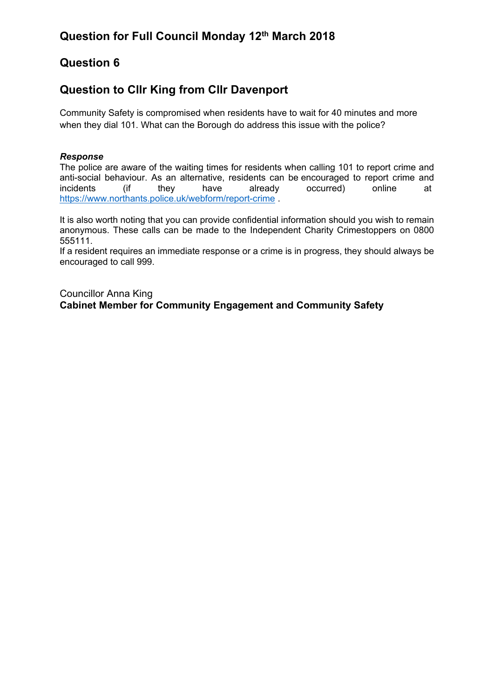### **Question to Cllr King from Cllr Davenport**

Community Safety is compromised when residents have to wait for 40 minutes and more when they dial 101. What can the Borough do address this issue with the police?

### *Response*

The police are aware of the waiting times for residents when calling 101 to report crime and anti-social behaviour. As an alternative, residents can be encouraged to report crime and incidents (if they have already occurred) online at <https://www.northants.police.uk/webform/report-crime> .

It is also worth noting that you can provide confidential information should you wish to remain anonymous. These calls can be made to the Independent Charity Crimestoppers on 0800 555111.

If a resident requires an immediate response or a crime is in progress, they should always be encouraged to call 999.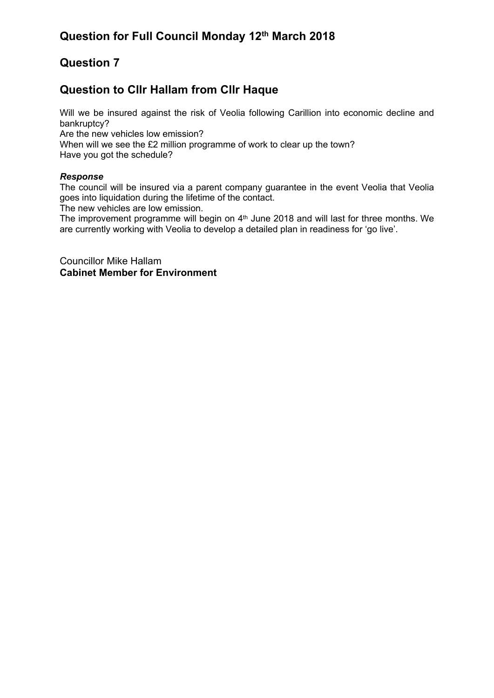### **Question to Cllr Hallam from Cllr Haque**

Will we be insured against the risk of Veolia following Carillion into economic decline and bankruptcy?

Are the new vehicles low emission?

When will we see the £2 million programme of work to clear up the town? Have you got the schedule?

### *Response*

The council will be insured via a parent company guarantee in the event Veolia that Veolia goes into liquidation during the lifetime of the contact.

The new vehicles are low emission.

The improvement programme will begin on  $4<sup>th</sup>$  June 2018 and will last for three months. We are currently working with Veolia to develop a detailed plan in readiness for 'go live'.

Councillor Mike Hallam **Cabinet Member for Environment**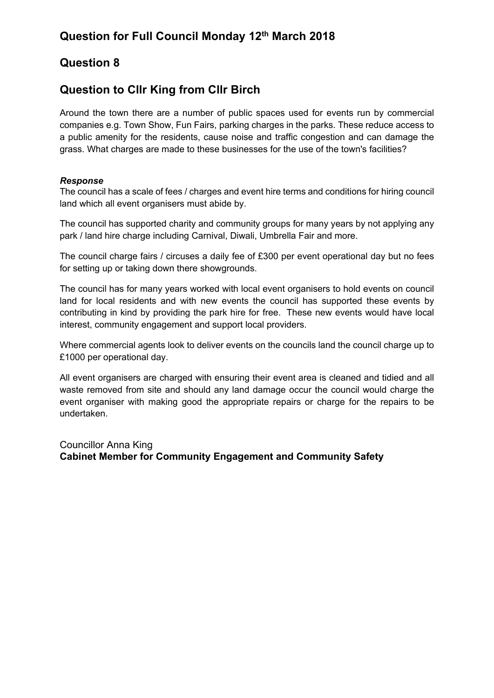### **Question to Cllr King from Cllr Birch**

Around the town there are a number of public spaces used for events run by commercial companies e.g. Town Show, Fun Fairs, parking charges in the parks. These reduce access to a public amenity for the residents, cause noise and traffic congestion and can damage the grass. What charges are made to these businesses for the use of the town's facilities?

### *Response*

The council has a scale of fees / charges and event hire terms and conditions for hiring council land which all event organisers must abide by.

The council has supported charity and community groups for many years by not applying any park / land hire charge including Carnival, Diwali, Umbrella Fair and more.

The council charge fairs / circuses a daily fee of £300 per event operational day but no fees for setting up or taking down there showgrounds.

The council has for many years worked with local event organisers to hold events on council land for local residents and with new events the council has supported these events by contributing in kind by providing the park hire for free. These new events would have local interest, community engagement and support local providers.

Where commercial agents look to deliver events on the councils land the council charge up to £1000 per operational day.

All event organisers are charged with ensuring their event area is cleaned and tidied and all waste removed from site and should any land damage occur the council would charge the event organiser with making good the appropriate repairs or charge for the repairs to be undertaken.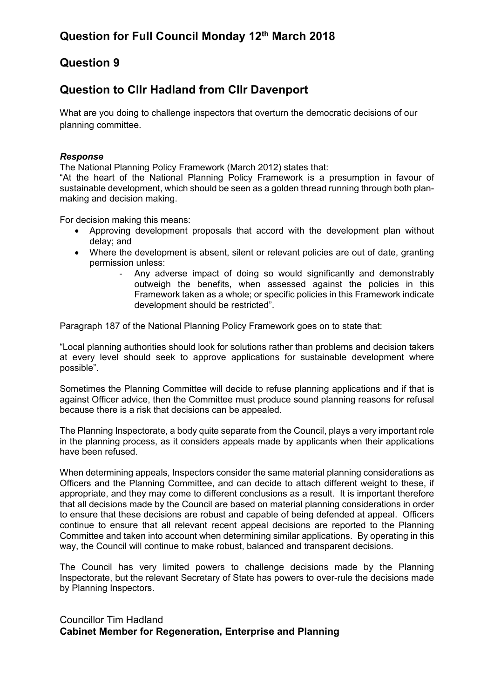### **Question to Cllr Hadland from Cllr Davenport**

What are you doing to challenge inspectors that overturn the democratic decisions of our planning committee.

#### *Response*

The National Planning Policy Framework (March 2012) states that:

"At the heart of the National Planning Policy Framework is a presumption in favour of sustainable development, which should be seen as a golden thread running through both planmaking and decision making.

For decision making this means:

- Approving development proposals that accord with the development plan without delay; and
- Where the development is absent, silent or relevant policies are out of date, granting permission unless:
	- Any adverse impact of doing so would significantly and demonstrably outweigh the benefits, when assessed against the policies in this Framework taken as a whole; or specific policies in this Framework indicate development should be restricted".

Paragraph 187 of the National Planning Policy Framework goes on to state that:

"Local planning authorities should look for solutions rather than problems and decision takers at every level should seek to approve applications for sustainable development where possible".

Sometimes the Planning Committee will decide to refuse planning applications and if that is against Officer advice, then the Committee must produce sound planning reasons for refusal because there is a risk that decisions can be appealed.

The Planning Inspectorate, a body quite separate from the Council, plays a very important role in the planning process, as it considers appeals made by applicants when their applications have been refused.

When determining appeals, Inspectors consider the same material planning considerations as Officers and the Planning Committee, and can decide to attach different weight to these, if appropriate, and they may come to different conclusions as a result. It is important therefore that all decisions made by the Council are based on material planning considerations in order to ensure that these decisions are robust and capable of being defended at appeal. Officers continue to ensure that all relevant recent appeal decisions are reported to the Planning Committee and taken into account when determining similar applications. By operating in this way, the Council will continue to make robust, balanced and transparent decisions.

The Council has very limited powers to challenge decisions made by the Planning Inspectorate, but the relevant Secretary of State has powers to over-rule the decisions made by Planning Inspectors.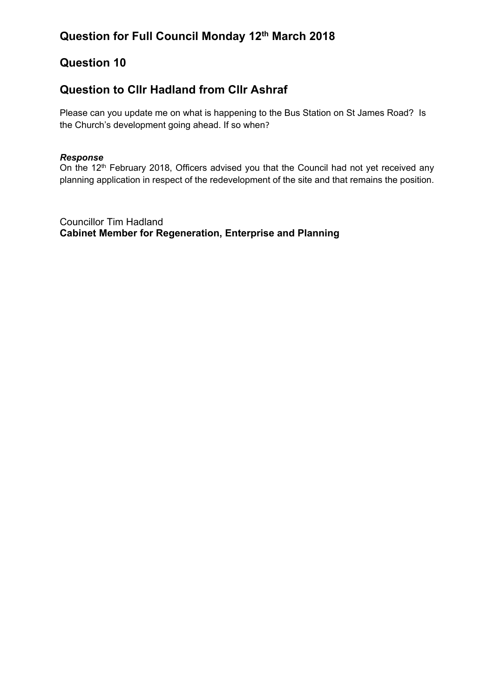### **Question to Cllr Hadland from Cllr Ashraf**

Please can you update me on what is happening to the Bus Station on St James Road? Is the Church's development going ahead. If so when?

### *Response*

On the 12<sup>th</sup> February 2018, Officers advised you that the Council had not yet received any planning application in respect of the redevelopment of the site and that remains the position.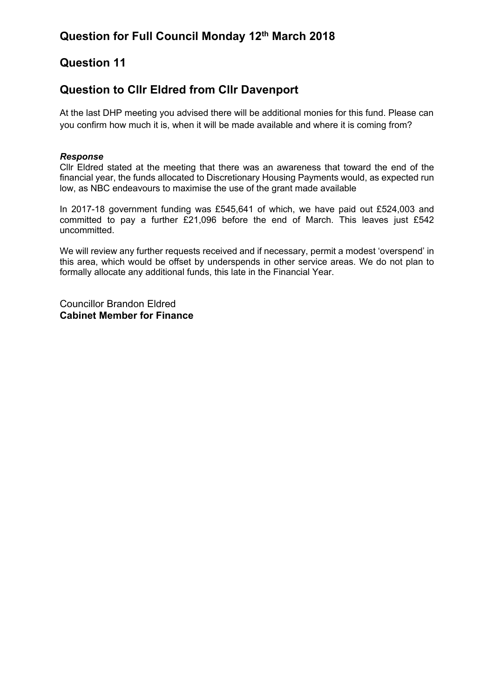### **Question to Cllr Eldred from Cllr Davenport**

At the last DHP meeting you advised there will be additional monies for this fund. Please can you confirm how much it is, when it will be made available and where it is coming from?

#### *Response*

Cllr Eldred stated at the meeting that there was an awareness that toward the end of the financial year, the funds allocated to Discretionary Housing Payments would, as expected run low, as NBC endeavours to maximise the use of the grant made available

In 2017-18 government funding was £545,641 of which, we have paid out £524,003 and committed to pay a further £21,096 before the end of March. This leaves just £542 uncommitted.

We will review any further requests received and if necessary, permit a modest 'overspend' in this area, which would be offset by underspends in other service areas. We do not plan to formally allocate any additional funds, this late in the Financial Year.

Councillor Brandon Eldred **Cabinet Member for Finance**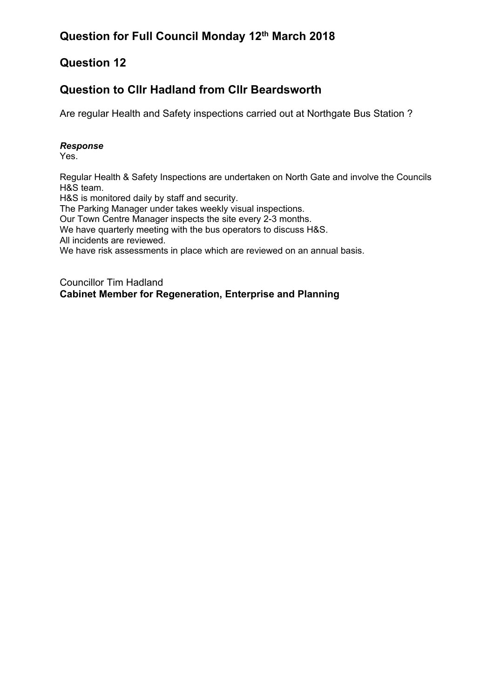### **Question to Cllr Hadland from Cllr Beardsworth**

Are regular Health and Safety inspections carried out at Northgate Bus Station ?

#### *Response*

Yes.

Regular Health & Safety Inspections are undertaken on North Gate and involve the Councils H&S team.

H&S is monitored daily by staff and security.

The Parking Manager under takes weekly visual inspections.

Our Town Centre Manager inspects the site every 2-3 months.

We have quarterly meeting with the bus operators to discuss H&S.

All incidents are reviewed.

We have risk assessments in place which are reviewed on an annual basis.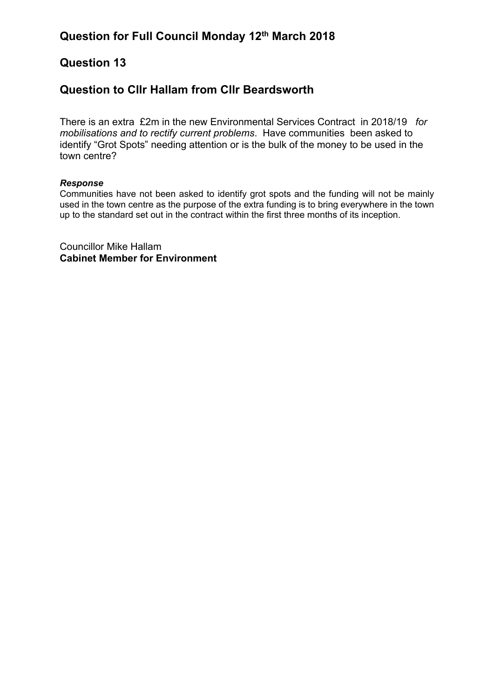### **Question to Cllr Hallam from Cllr Beardsworth**

There is an extra £2m in the new Environmental Services Contract in 2018/19 *for mobilisations and to rectify current problems*. Have communities been asked to identify "Grot Spots" needing attention or is the bulk of the money to be used in the town centre?

#### *Response*

Communities have not been asked to identify grot spots and the funding will not be mainly used in the town centre as the purpose of the extra funding is to bring everywhere in the town up to the standard set out in the contract within the first three months of its inception.

Councillor Mike Hallam **Cabinet Member for Environment**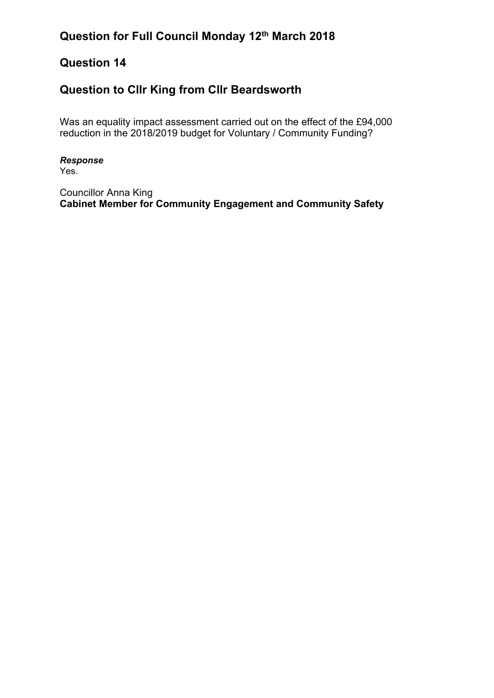# **Question for Full Council Monday 12th March 2018**

## **Question 14**

## **Question to Cllr King from Cllr Beardsworth**

Was an equality impact assessment carried out on the effect of the £94,000 reduction in the 2018/2019 budget for Voluntary / Community Funding?

*Response* Yes.